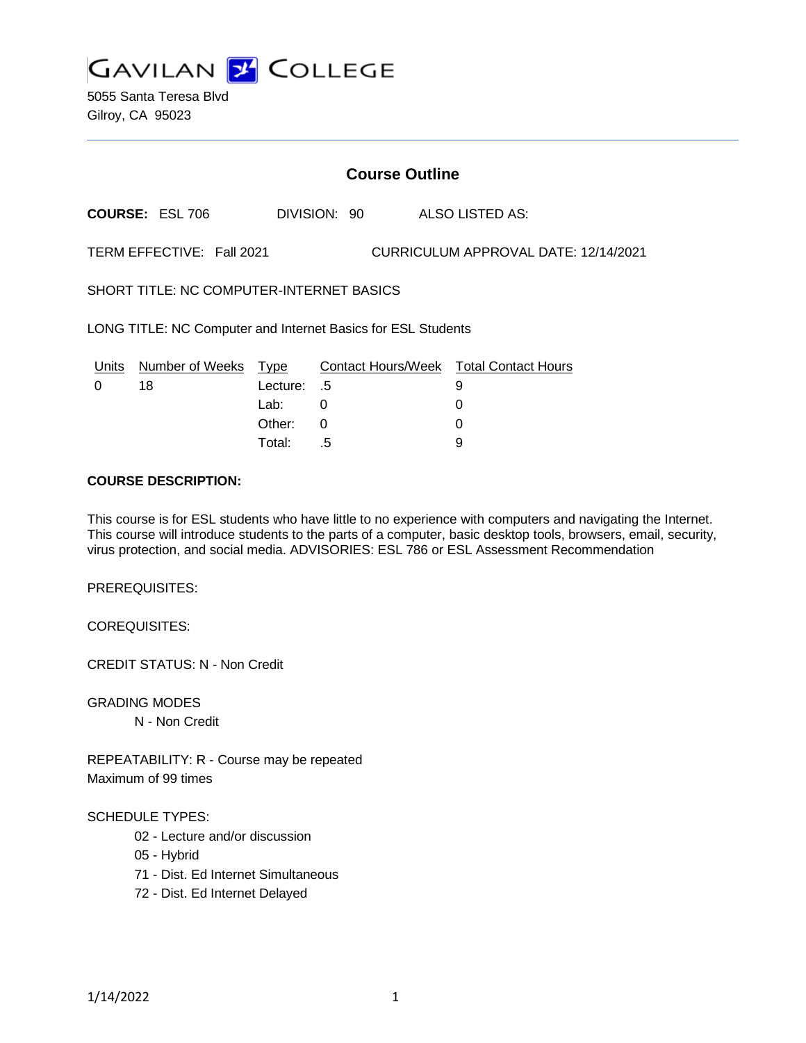

5055 Santa Teresa Blvd Gilroy, CA 95023

## **Course Outline**

**COURSE:** ESL 706 DIVISION: 90 ALSO LISTED AS:

TERM EFFECTIVE: Fall 2021 CURRICULUM APPROVAL DATE: 12/14/2021

SHORT TITLE: NC COMPUTER-INTERNET BASICS

LONG TITLE: NC Computer and Internet Basics for ESL Students

|          | Units Number of Weeks Type |             | Contact Hours/Week  Total Contact Hours |  |
|----------|----------------------------|-------------|-----------------------------------------|--|
| $\Omega$ | 18                         | Lecture: .5 |                                         |  |
|          |                            | Lab: _      |                                         |  |
|          |                            | Other: 0    |                                         |  |
|          |                            | Total:      | - 5                                     |  |

#### **COURSE DESCRIPTION:**

This course is for ESL students who have little to no experience with computers and navigating the Internet. This course will introduce students to the parts of a computer, basic desktop tools, browsers, email, security, virus protection, and social media. ADVISORIES: ESL 786 or ESL Assessment Recommendation

PREREQUISITES:

COREQUISITES:

CREDIT STATUS: N - Non Credit

GRADING MODES

N - Non Credit

REPEATABILITY: R - Course may be repeated Maximum of 99 times

#### SCHEDULE TYPES:

- 02 Lecture and/or discussion
- 05 Hybrid
- 71 Dist. Ed Internet Simultaneous
- 72 Dist. Ed Internet Delayed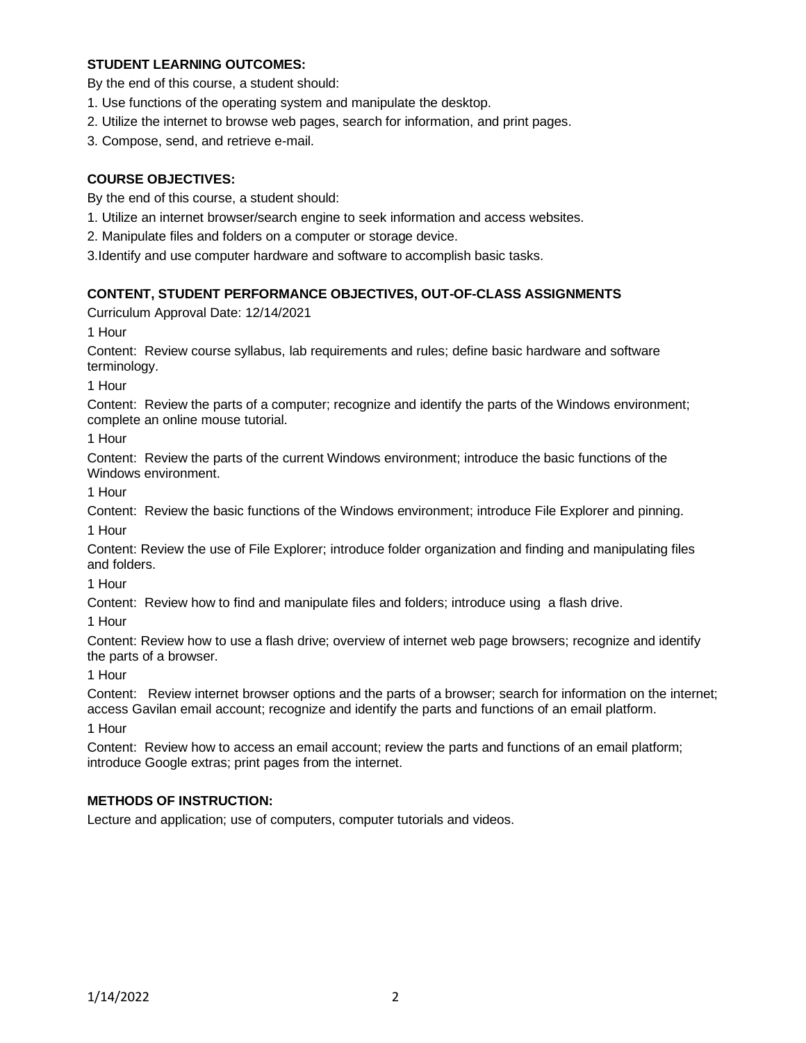## **STUDENT LEARNING OUTCOMES:**

By the end of this course, a student should:

- 1. Use functions of the operating system and manipulate the desktop.
- 2. Utilize the internet to browse web pages, search for information, and print pages.
- 3. Compose, send, and retrieve e-mail.

# **COURSE OBJECTIVES:**

By the end of this course, a student should:

- 1. Utilize an internet browser/search engine to seek information and access websites.
- 2. Manipulate files and folders on a computer or storage device.
- 3.Identify and use computer hardware and software to accomplish basic tasks.

### **CONTENT, STUDENT PERFORMANCE OBJECTIVES, OUT-OF-CLASS ASSIGNMENTS**

Curriculum Approval Date: 12/14/2021

1 Hour

Content: Review course syllabus, lab requirements and rules; define basic hardware and software terminology.

1 Hour

Content: Review the parts of a computer; recognize and identify the parts of the Windows environment; complete an online mouse tutorial.

1 Hour

Content: Review the parts of the current Windows environment; introduce the basic functions of the Windows environment.

1 Hour

Content: Review the basic functions of the Windows environment; introduce File Explorer and pinning. 1 Hour

Content: Review the use of File Explorer; introduce folder organization and finding and manipulating files and folders.

1 Hour

Content: Review how to find and manipulate files and folders; introduce using a flash drive.

1 Hour

Content: Review how to use a flash drive; overview of internet web page browsers; recognize and identify the parts of a browser.

1 Hour

Content: Review internet browser options and the parts of a browser; search for information on the internet; access Gavilan email account; recognize and identify the parts and functions of an email platform.

1 Hour

Content: Review how to access an email account; review the parts and functions of an email platform; introduce Google extras; print pages from the internet.

### **METHODS OF INSTRUCTION:**

Lecture and application; use of computers, computer tutorials and videos.